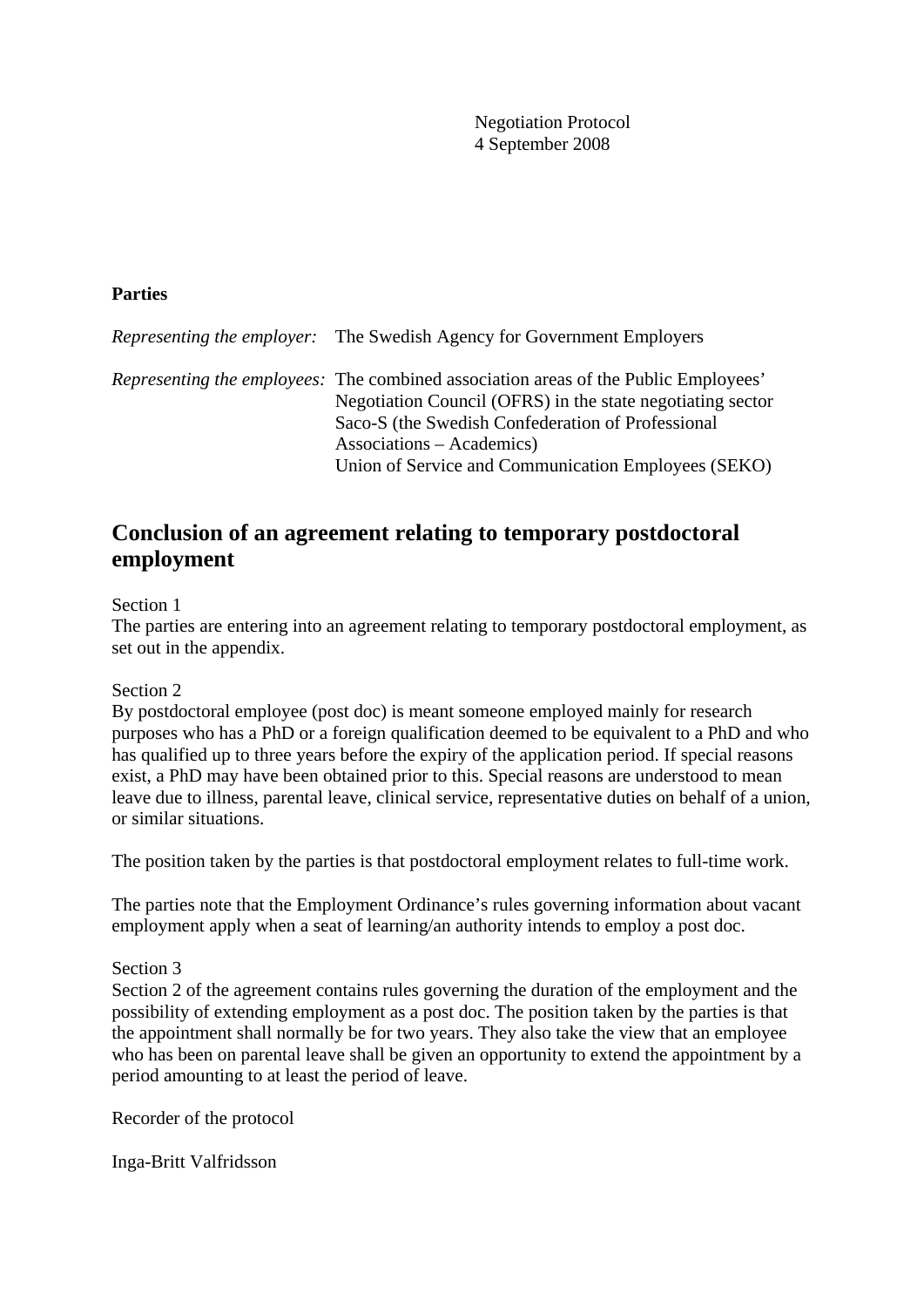Negotiation Protocol 4 September 2008

## **Parties**

| <i>Representing the employer:</i> The Swedish Agency for Government Employers              |
|--------------------------------------------------------------------------------------------|
| <i>Representing the employees:</i> The combined association areas of the Public Employees' |
| Negotiation Council (OFRS) in the state negotiating sector                                 |
| Saco-S (the Swedish Confederation of Professional                                          |
| Associations – Academics)                                                                  |
| Union of Service and Communication Employees (SEKO)                                        |

## **Conclusion of an agreement relating to temporary postdoctoral employment**

## Section 1

The parties are entering into an agreement relating to temporary postdoctoral employment, as set out in the appendix.

#### Section 2

By postdoctoral employee (post doc) is meant someone employed mainly for research purposes who has a PhD or a foreign qualification deemed to be equivalent to a PhD and who has qualified up to three years before the expiry of the application period. If special reasons exist, a PhD may have been obtained prior to this. Special reasons are understood to mean leave due to illness, parental leave, clinical service, representative duties on behalf of a union, or similar situations.

The position taken by the parties is that postdoctoral employment relates to full-time work.

The parties note that the Employment Ordinance's rules governing information about vacant employment apply when a seat of learning/an authority intends to employ a post doc.

#### Section 3

Section 2 of the agreement contains rules governing the duration of the employment and the possibility of extending employment as a post doc. The position taken by the parties is that the appointment shall normally be for two years. They also take the view that an employee who has been on parental leave shall be given an opportunity to extend the appointment by a period amounting to at least the period of leave.

Recorder of the protocol

Inga-Britt Valfridsson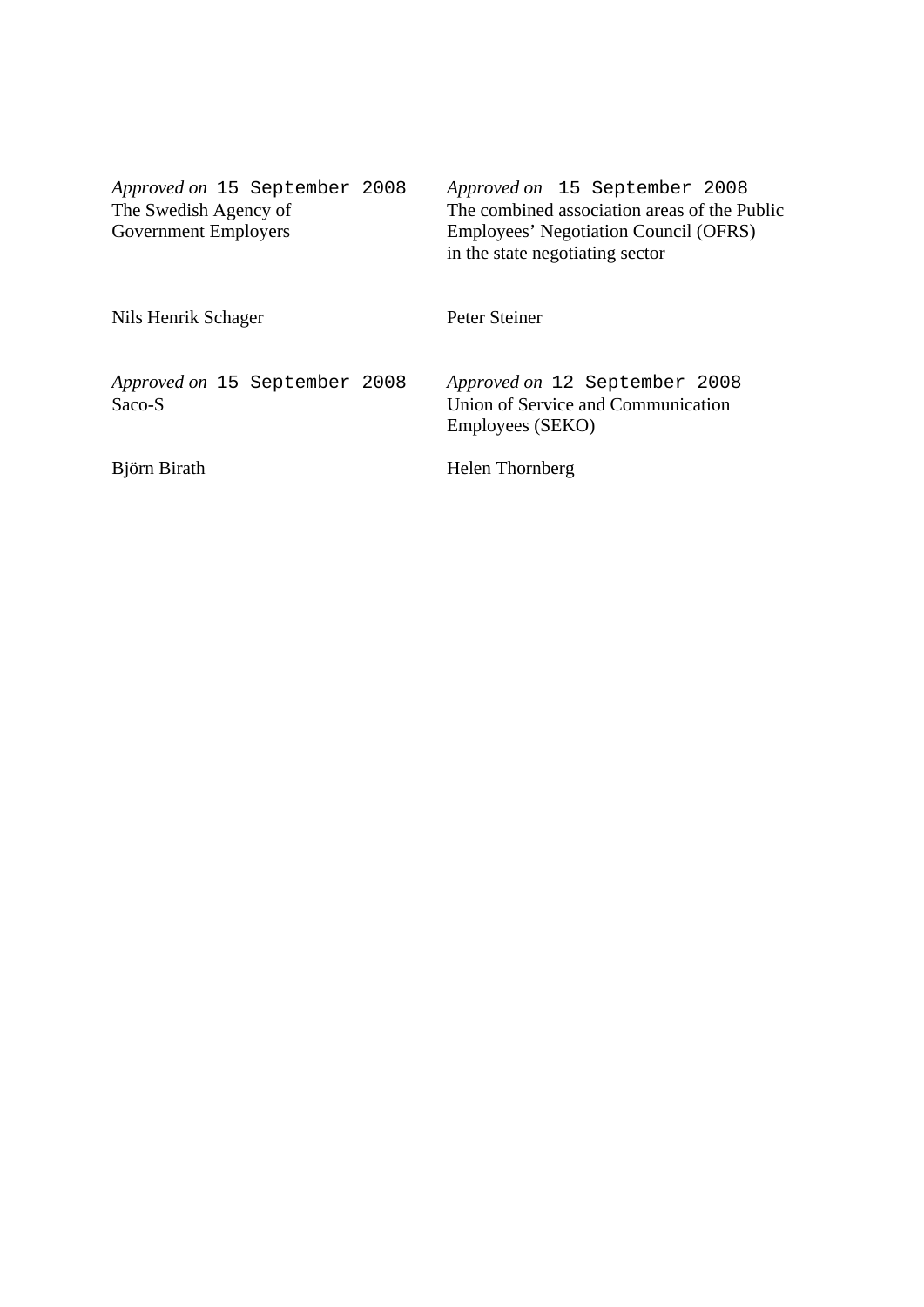| Approved on 15 September 2008<br>The Swedish Agency of<br><b>Government Employers</b> | Approved on 15 September 2008<br>The combined association areas of the Public<br>Employees' Negotiation Council (OFRS)<br>in the state negotiating sector |
|---------------------------------------------------------------------------------------|-----------------------------------------------------------------------------------------------------------------------------------------------------------|
| Nils Henrik Schager                                                                   | Peter Steiner                                                                                                                                             |
| Approved on 15 September 2008<br>Saco-S                                               | Approved on 12 September 2008<br>Union of Service and Communication<br>Employees (SEKO)                                                                   |
| Björn Birath                                                                          | Helen Thornberg                                                                                                                                           |